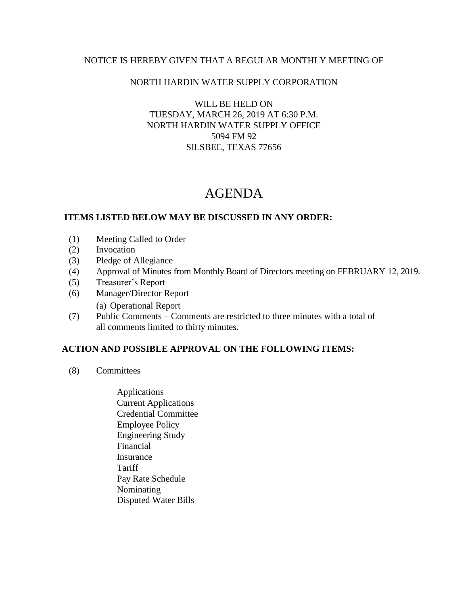### NOTICE IS HEREBY GIVEN THAT A REGULAR MONTHLY MEETING OF

### NORTH HARDIN WATER SUPPLY CORPORATION

WILL BE HELD ON TUESDAY, MARCH 26, 2019 AT 6:30 P.M. NORTH HARDIN WATER SUPPLY OFFICE 5094 FM 92 SILSBEE, TEXAS 77656

# AGENDA

### **ITEMS LISTED BELOW MAY BE DISCUSSED IN ANY ORDER:**

- (1) Meeting Called to Order
- (2) Invocation
- (3) Pledge of Allegiance
- (4) Approval of Minutes from Monthly Board of Directors meeting on FEBRUARY 12, 2019.
- (5) Treasurer's Report
- (6) Manager/Director Report
	- (a) Operational Report
- (7) Public Comments Comments are restricted to three minutes with a total of all comments limited to thirty minutes.

## **ACTION AND POSSIBLE APPROVAL ON THE FOLLOWING ITEMS:**

- (8) Committees
	- Applications Current Applications Credential Committee Employee Policy Engineering Study Financial Insurance **Tariff**  Pay Rate Schedule Nominating Disputed Water Bills